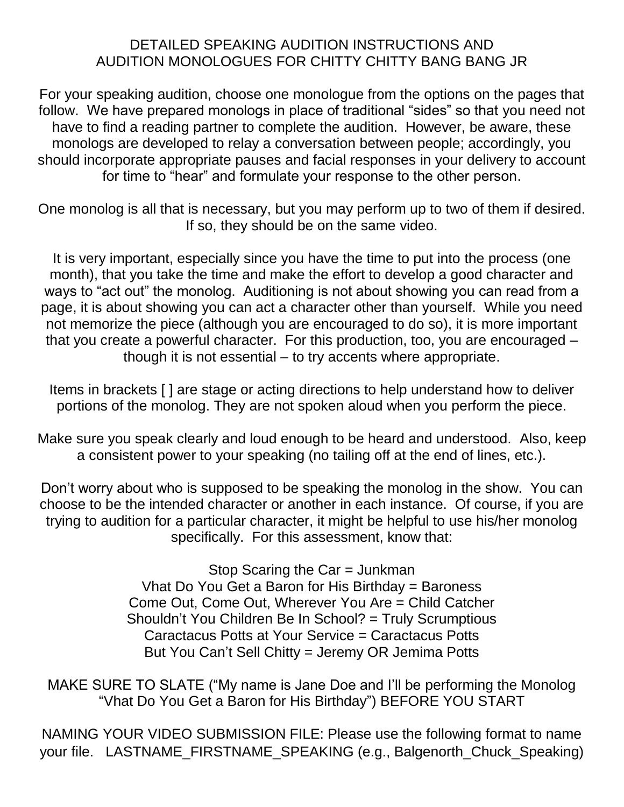# DETAILED SPEAKING AUDITION INSTRUCTIONS AND AUDITION MONOLOGUES FOR CHITTY CHITTY BANG BANG JR

For your speaking audition, choose one monologue from the options on the pages that follow. We have prepared monologs in place of traditional "sides" so that you need not have to find a reading partner to complete the audition. However, be aware, these monologs are developed to relay a conversation between people; accordingly, you should incorporate appropriate pauses and facial responses in your delivery to account for time to "hear" and formulate your response to the other person.

One monolog is all that is necessary, but you may perform up to two of them if desired. If so, they should be on the same video.

It is very important, especially since you have the time to put into the process (one month), that you take the time and make the effort to develop a good character and ways to "act out" the monolog. Auditioning is not about showing you can read from a page, it is about showing you can act a character other than yourself. While you need not memorize the piece (although you are encouraged to do so), it is more important that you create a powerful character. For this production, too, you are encouraged – though it is not essential – to try accents where appropriate.

Items in brackets [ ] are stage or acting directions to help understand how to deliver portions of the monolog. They are not spoken aloud when you perform the piece.

Make sure you speak clearly and loud enough to be heard and understood. Also, keep a consistent power to your speaking (no tailing off at the end of lines, etc.).

Don't worry about who is supposed to be speaking the monolog in the show. You can choose to be the intended character or another in each instance. Of course, if you are trying to audition for a particular character, it might be helpful to use his/her monolog specifically. For this assessment, know that:

> Stop Scaring the Car = Junkman Vhat Do You Get a Baron for His Birthday = Baroness Come Out, Come Out, Wherever You Are = Child Catcher Shouldn't You Children Be In School? = Truly Scrumptious Caractacus Potts at Your Service = Caractacus Potts But You Can't Sell Chitty = Jeremy OR Jemima Potts

MAKE SURE TO SLATE ("My name is Jane Doe and I'll be performing the Monolog "Vhat Do You Get a Baron for His Birthday") BEFORE YOU START

NAMING YOUR VIDEO SUBMISSION FILE: Please use the following format to name your file. LASTNAME\_FIRSTNAME\_SPEAKING (e.g., Balgenorth\_Chuck\_Speaking)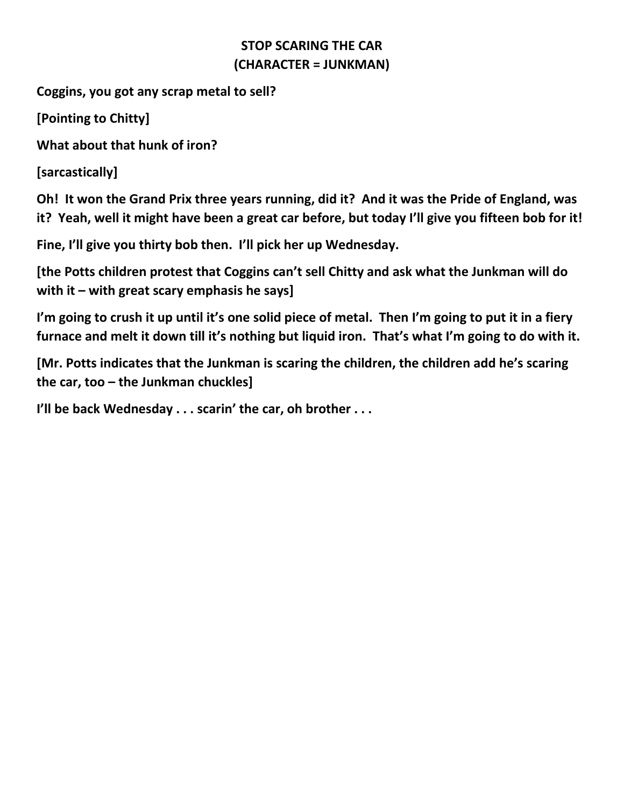# **STOP SCARING THE CAR (CHARACTER = JUNKMAN)**

**Coggins, you got any scrap metal to sell?**

**[Pointing to Chitty]**

**What about that hunk of iron?**

**[sarcastically]**

**Oh! It won the Grand Prix three years running, did it? And it was the Pride of England, was it? Yeah, well it might have been a great car before, but today I'll give you fifteen bob for it!**

**Fine, I'll give you thirty bob then. I'll pick her up Wednesday.**

**[the Potts children protest that Coggins can't sell Chitty and ask what the Junkman will do with it – with great scary emphasis he says]**

**I'm going to crush it up until it's one solid piece of metal. Then I'm going to put it in a fiery furnace and melt it down till it's nothing but liquid iron. That's what I'm going to do with it.**

**[Mr. Potts indicates that the Junkman is scaring the children, the children add he's scaring the car, too – the Junkman chuckles]**

**I'll be back Wednesday . . . scarin' the car, oh brother . . .**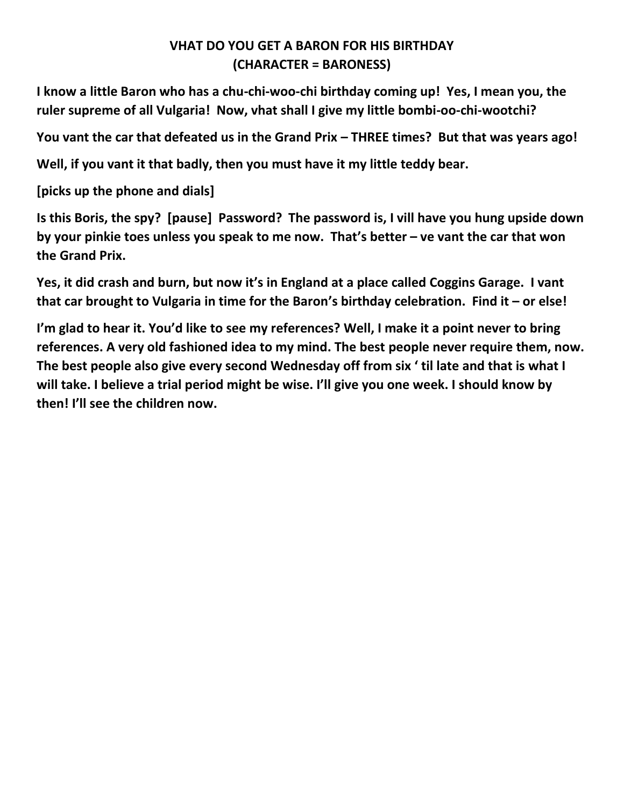# **VHAT DO YOU GET A BARON FOR HIS BIRTHDAY (CHARACTER = BARONESS)**

**I know a little Baron who has a chu-chi-woo-chi birthday coming up! Yes, I mean you, the ruler supreme of all Vulgaria! Now, vhat shall I give my little bombi-oo-chi-wootchi?**

**You vant the car that defeated us in the Grand Prix – THREE times? But that was years ago!**

**Well, if you vant it that badly, then you must have it my little teddy bear.**

**[picks up the phone and dials]**

**Is this Boris, the spy? [pause] Password? The password is, I vill have you hung upside down by your pinkie toes unless you speak to me now. That's better – ve vant the car that won the Grand Prix.**

**Yes, it did crash and burn, but now it's in England at a place called Coggins Garage. I vant that car brought to Vulgaria in time for the Baron's birthday celebration. Find it – or else!**

**I'm glad to hear it. You'd like to see my references? Well, I make it a point never to bring references. A very old fashioned idea to my mind. The best people never require them, now. The best people also give every second Wednesday off from six ' til late and that is what I will take. I believe a trial period might be wise. I'll give you one week. I should know by then! I'll see the children now.**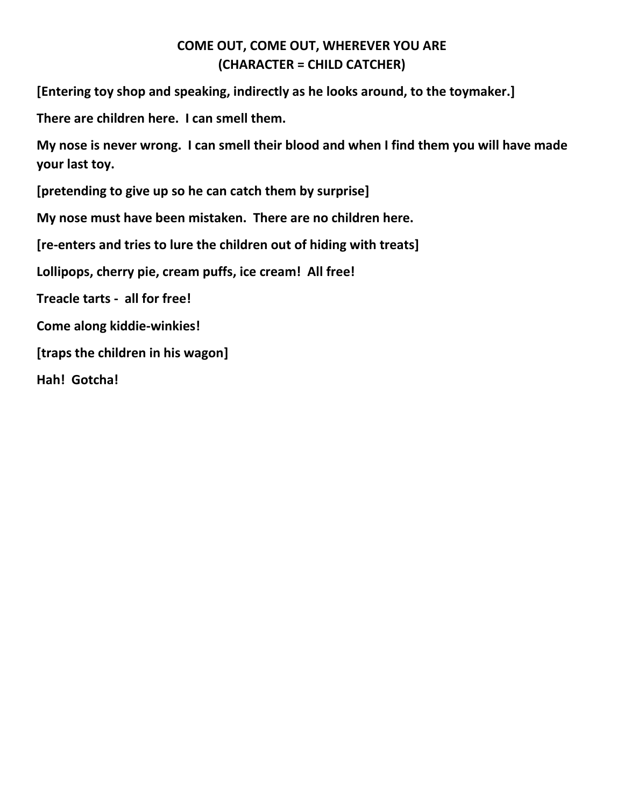## **COME OUT, COME OUT, WHEREVER YOU ARE (CHARACTER = CHILD CATCHER)**

**[Entering toy shop and speaking, indirectly as he looks around, to the toymaker.]**

**There are children here. I can smell them.**

**My nose is never wrong. I can smell their blood and when I find them you will have made your last toy.**

**[pretending to give up so he can catch them by surprise]**

**My nose must have been mistaken. There are no children here.**

**[re-enters and tries to lure the children out of hiding with treats]**

**Lollipops, cherry pie, cream puffs, ice cream! All free!**

**Treacle tarts - all for free!** 

**Come along kiddie-winkies!**

**[traps the children in his wagon]**

**Hah! Gotcha!**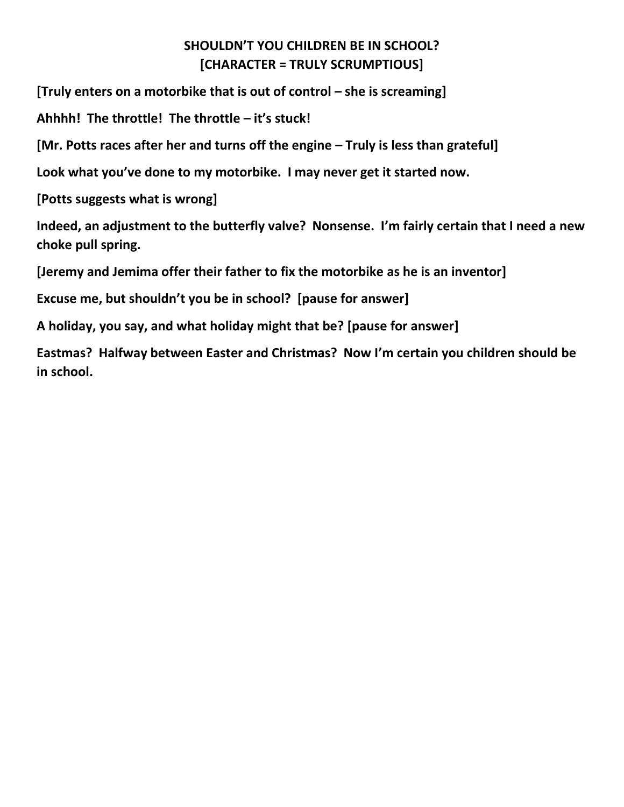# **SHOULDN'T YOU CHILDREN BE IN SCHOOL? [CHARACTER = TRULY SCRUMPTIOUS]**

**[Truly enters on a motorbike that is out of control – she is screaming]** 

**Ahhhh! The throttle! The throttle – it's stuck!**

**[Mr. Potts races after her and turns off the engine – Truly is less than grateful]** 

**Look what you've done to my motorbike. I may never get it started now.**

**[Potts suggests what is wrong]**

**Indeed, an adjustment to the butterfly valve? Nonsense. I'm fairly certain that I need a new choke pull spring.**

**[Jeremy and Jemima offer their father to fix the motorbike as he is an inventor]**

**Excuse me, but shouldn't you be in school? [pause for answer]**

**A holiday, you say, and what holiday might that be? [pause for answer]**

**Eastmas? Halfway between Easter and Christmas? Now I'm certain you children should be in school.**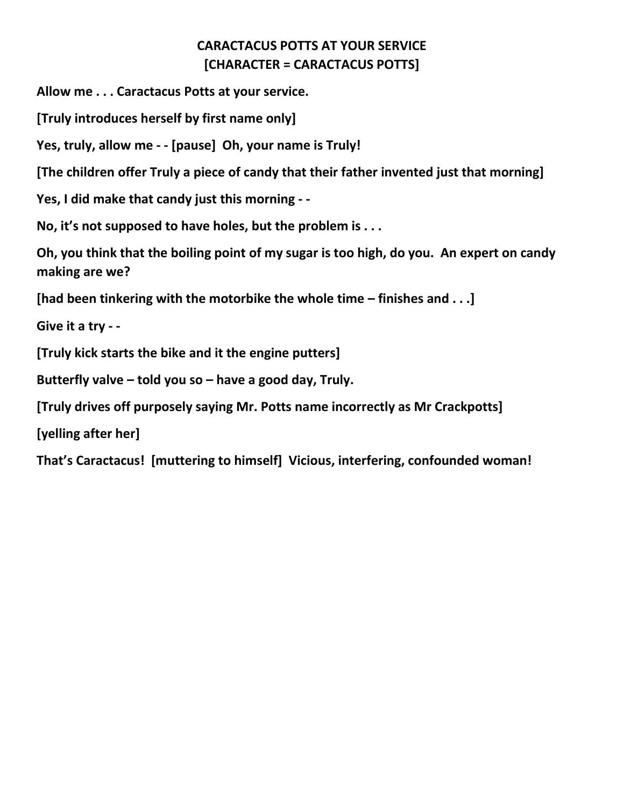# **CARACTACUS POTTS AT YOUR SERVICE [CHARACTER = CARACTACUS POTTS]**

**Allow me . . . Caractacus Potts at your service.**

**[Truly introduces herself by first name only]**

**Yes, truly, allow me - - [pause] Oh, your name is Truly!**

**[The children offer Truly a piece of candy that their father invented just that morning]**

**Yes, I did make that candy just this morning - -**

**No, it's not supposed to have holes, but the problem is . . .** 

**Oh, you think that the boiling point of my sugar is too high, do you. An expert on candy making are we?**

**[had been tinkering with the motorbike the whole time – finishes and . . .]**

**Give it a try - -**

**[Truly kick starts the bike and it the engine putters]**

**Butterfly valve – told you so – have a good day, Truly.**

**[Truly drives off purposely saying Mr. Potts name incorrectly as Mr Crackpotts]**

**[yelling after her]**

**That's Caractacus! [muttering to himself] Vicious, interfering, confounded woman!**